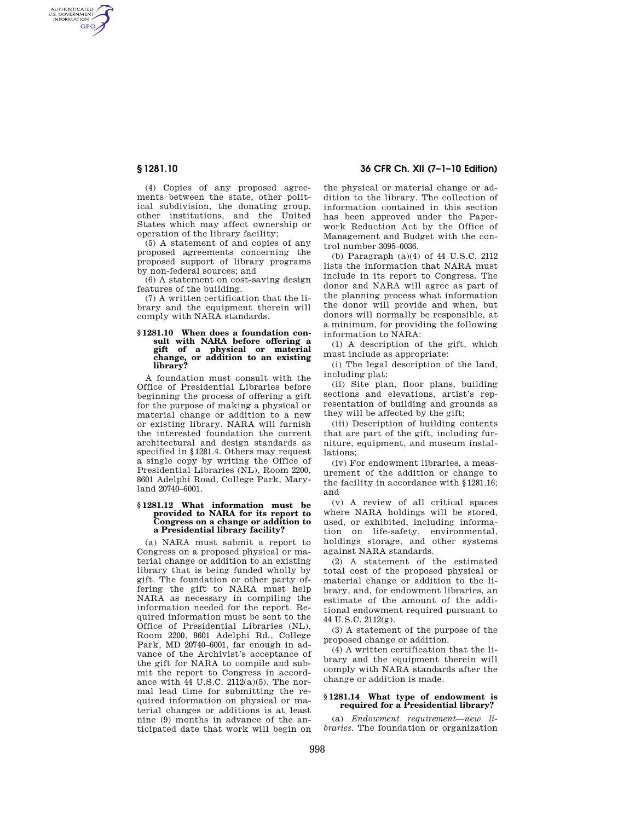AUTHENTICATED<br>U.S. GOVERNMENT<br>INFORMATION **GPO** 

> (4) Copies of any proposed agreements between the state, other political subdivision, the donating group, other institutions, and the United States which may affect ownership or operation of the library facility;

(5) A statement of and copies of any proposed agreements concerning the proposed support of library programs by non-federal sources; and

(6) A statement on cost-saving design features of the building.

(7) A written certification that the library and the equipment therein will comply with NARA standards.

# **§ 1281.10 When does a foundation consult with NARA before offering a gift of a physical or material change, or addition to an existing library?**

A foundation must consult with the Office of Presidential Libraries before beginning the process of offering a gift for the purpose of making a physical or material change or addition to a new or existing library. NARA will furnish the interested foundation the current architectural and design standards as specified in §1281.4. Others may request a single copy by writing the Office of Presidential Libraries (NL), Room 2200, 8601 Adelphi Road, College Park, Maryland 20740–6001.

#### **§ 1281.12 What information must be provided to NARA for its report to Congress on a change or addition to a Presidential library facility?**

(a) NARA must submit a report to Congress on a proposed physical or material change or addition to an existing library that is being funded wholly by gift. The foundation or other party offering the gift to NARA must help NARA as necessary in compiling the information needed for the report. Required information must be sent to the Office of Presidential Libraries (NL), Room 2200, 8601 Adelphi Rd., College Park, MD 20740–6001, far enough in advance of the Archivist's acceptance of the gift for NARA to compile and submit the report to Congress in accordance with 44 U.S.C. 2112(a)(5). The normal lead time for submitting the required information on physical or material changes or additions is at least nine (9) months in advance of the anticipated date that work will begin on

# **§ 1281.10 36 CFR Ch. XII (7–1–10 Edition)**

the physical or material change or addition to the library. The collection of information contained in this section has been approved under the Paperwork Reduction Act by the Office of Management and Budget with the control number 3095–0036.

(b) Paragraph (a)(4) of 44 U.S.C. 2112 lists the information that NARA must include in its report to Congress. The donor and NARA will agree as part of the planning process what information the donor will provide and when, but donors will normally be responsible, at a minimum, for providing the following information to NARA:

(1) A description of the gift, which must include as appropriate:

(i) The legal description of the land, including plat;

(ii) Site plan, floor plans, building sections and elevations, artist's representation of building and grounds as they will be affected by the gift;

(iii) Description of building contents that are part of the gift, including furniture, equipment, and museum installations;

(iv) For endowment libraries, a measurement of the addition or change to the facility in accordance with §1281.16; and

(v) A review of all critical spaces where NARA holdings will be stored, used, or exhibited, including information on life-safety, environmental, holdings storage, and other systems against NARA standards.

(2) A statement of the estimated total cost of the proposed physical or material change or addition to the library, and, for endowment libraries, an estimate of the amount of the additional endowment required pursuant to 44 U.S.C. 2112(g).

(3) A statement of the purpose of the proposed change or addition.

(4) A written certification that the library and the equipment therein will comply with NARA standards after the change or addition is made.

### **§ 1281.14 What type of endowment is required for a Presidential library?**

(a) *Endowment requirement—new libraries.* The foundation or organization